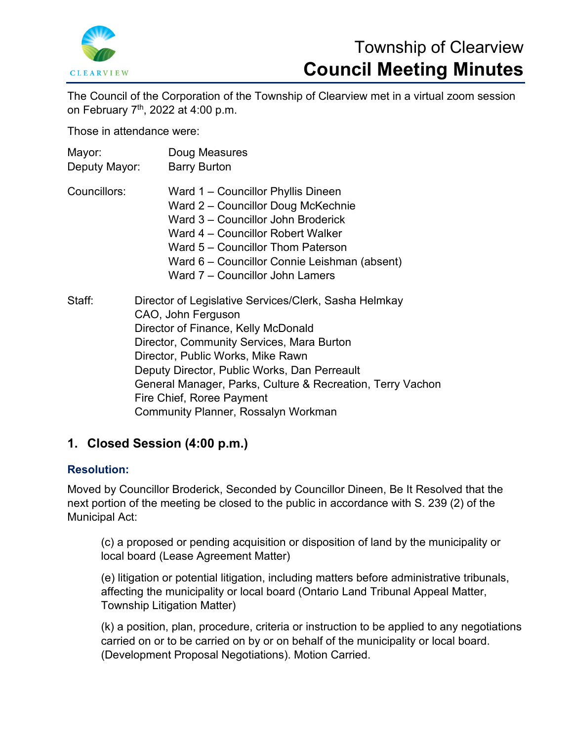

# Township of Clearview **Council Meeting Minutes**

The Council of the Corporation of the Township of Clearview met in a virtual zoom session on February 7th, 2022 at 4:00 p.m.

Those in attendance were:

| Mayor:<br>Deputy Mayor: | Doug Measures<br><b>Barry Burton</b>                                                                                                                                                                                                                                                                                                                                                   |
|-------------------------|----------------------------------------------------------------------------------------------------------------------------------------------------------------------------------------------------------------------------------------------------------------------------------------------------------------------------------------------------------------------------------------|
| Councillors:            | Ward 1 – Councillor Phyllis Dineen<br>Ward 2 – Councillor Doug McKechnie<br>Ward 3 – Councillor John Broderick<br>Ward 4 – Councillor Robert Walker<br>Ward 5 – Councillor Thom Paterson<br>Ward 6 - Councillor Connie Leishman (absent)<br>Ward 7 – Councillor John Lamers                                                                                                            |
| Staff:                  | Director of Legislative Services/Clerk, Sasha Helmkay<br>CAO, John Ferguson<br>Director of Finance, Kelly McDonald<br>Director, Community Services, Mara Burton<br>Director, Public Works, Mike Rawn<br>Deputy Director, Public Works, Dan Perreault<br>General Manager, Parks, Culture & Recreation, Terry Vachon<br>Fire Chief, Roree Payment<br>Community Planner, Rossalyn Workman |

## **1. Closed Session (4:00 p.m.)**

## **Resolution:**

Moved by Councillor Broderick, Seconded by Councillor Dineen, Be It Resolved that the next portion of the meeting be closed to the public in accordance with S. 239 (2) of the Municipal Act:

(c) a proposed or pending acquisition or disposition of land by the municipality or local board (Lease Agreement Matter)

(e) litigation or potential litigation, including matters before administrative tribunals, affecting the municipality or local board (Ontario Land Tribunal Appeal Matter, Township Litigation Matter)

(k) a position, plan, procedure, criteria or instruction to be applied to any negotiations carried on or to be carried on by or on behalf of the municipality or local board. (Development Proposal Negotiations). Motion Carried.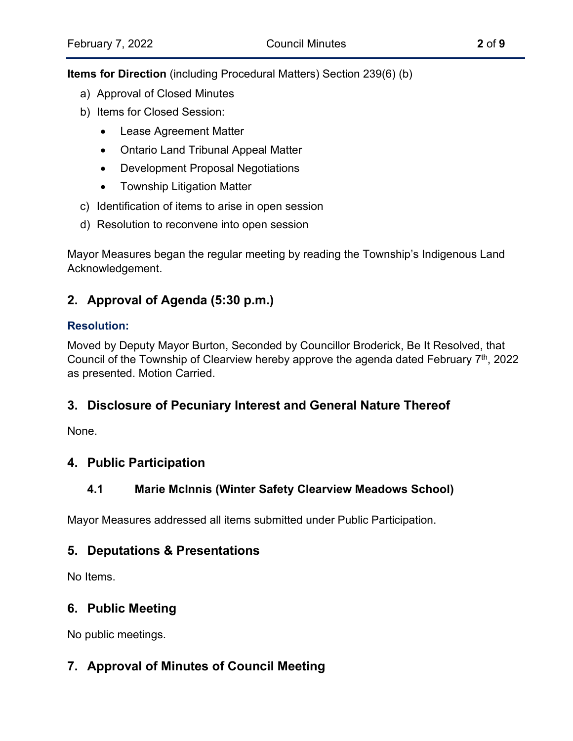**Items for Direction** (including Procedural Matters) Section 239(6) (b)

- a) Approval of Closed Minutes
- b) Items for Closed Session:
	- Lease Agreement Matter
	- Ontario Land Tribunal Appeal Matter
	- Development Proposal Negotiations
	- Township Litigation Matter
- c) Identification of items to arise in open session
- d) Resolution to reconvene into open session

Mayor Measures began the regular meeting by reading the Township's Indigenous Land Acknowledgement.

## **2. Approval of Agenda (5:30 p.m.)**

## **Resolution:**

Moved by Deputy Mayor Burton, Seconded by Councillor Broderick, Be It Resolved, that Council of the Township of Clearview hereby approve the agenda dated February 7<sup>th</sup>, 2022 as presented. Motion Carried.

## **3. Disclosure of Pecuniary Interest and General Nature Thereof**

None.

## **4. Public Participation**

## **4.1 Marie McInnis (Winter Safety Clearview Meadows School)**

Mayor Measures addressed all items submitted under Public Participation.

## **5. Deputations & Presentations**

No Items.

## **6. Public Meeting**

No public meetings.

## **7. Approval of Minutes of Council Meeting**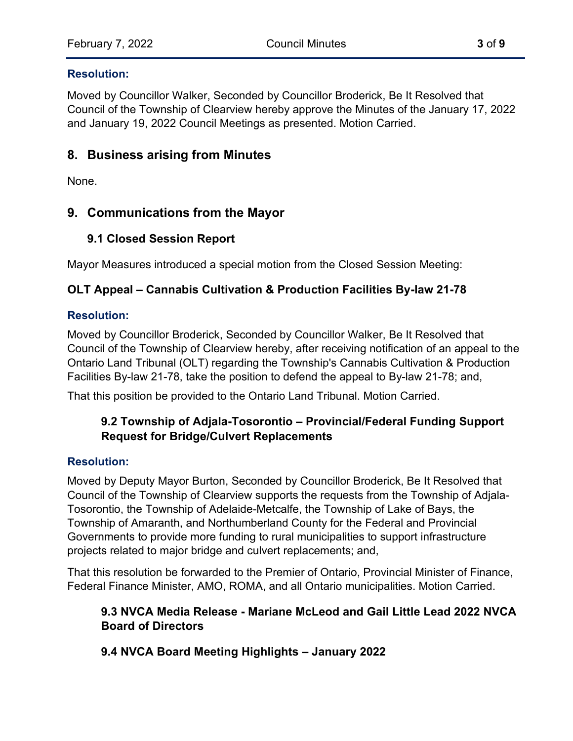#### **Resolution:**

Moved by Councillor Walker, Seconded by Councillor Broderick, Be It Resolved that Council of the Township of Clearview hereby approve the Minutes of the January 17, 2022 and January 19, 2022 Council Meetings as presented. Motion Carried.

## **8. Business arising from Minutes**

None.

## **9. Communications from the Mayor**

## **9.1 Closed Session Report**

Mayor Measures introduced a special motion from the Closed Session Meeting:

## **OLT Appeal – Cannabis Cultivation & Production Facilities By-law 21-78**

#### **Resolution:**

Moved by Councillor Broderick, Seconded by Councillor Walker, Be It Resolved that Council of the Township of Clearview hereby, after receiving notification of an appeal to the Ontario Land Tribunal (OLT) regarding the Township's Cannabis Cultivation & Production Facilities By-law 21-78, take the position to defend the appeal to By-law 21-78; and,

That this position be provided to the Ontario Land Tribunal. Motion Carried.

## **9.2 Township of Adjala-Tosorontio – [Provincial/Federal Funding Support](https://www.clearview.ca/sites/default/files/uploads/publications/9.2_adj-tos_funding_support_request_for_bridges_and_culverts.pdf)  [Request for Bridge/Culvert Replacements](https://www.clearview.ca/sites/default/files/uploads/publications/9.2_adj-tos_funding_support_request_for_bridges_and_culverts.pdf)**

#### **Resolution:**

Moved by Deputy Mayor Burton, Seconded by Councillor Broderick, Be It Resolved that Council of the Township of Clearview supports the requests from the Township of Adjala-Tosorontio, the Township of Adelaide-Metcalfe, the Township of Lake of Bays, the Township of Amaranth, and Northumberland County for the Federal and Provincial Governments to provide more funding to rural municipalities to support infrastructure projects related to major bridge and culvert replacements; and,

That this resolution be forwarded to the Premier of Ontario, Provincial Minister of Finance, Federal Finance Minister, AMO, ROMA, and all Ontario municipalities. Motion Carried.

## **9.3 NVCA Media Release - Mariane McLeod and Gail Little Lead 2022 NVCA Board of Directors**

## **9.4 NVCA Board Meeting Highlights – January 2022**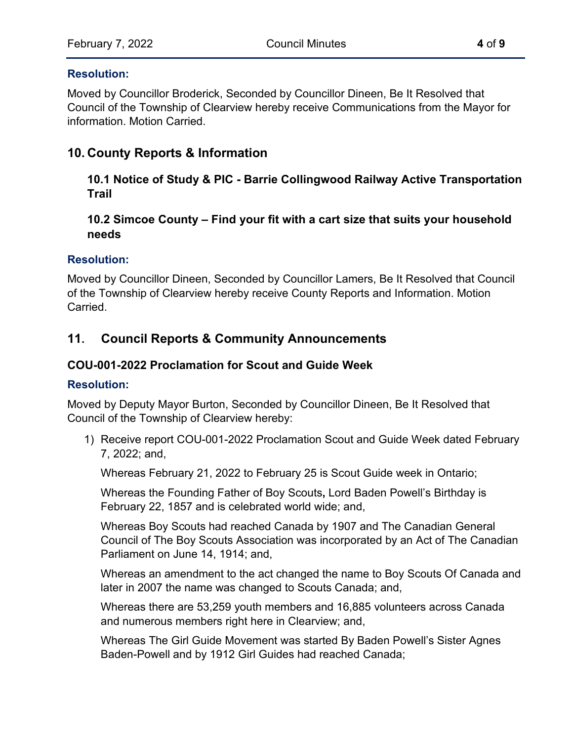#### **Resolution:**

Moved by Councillor Broderick, Seconded by Councillor Dineen, Be It Resolved that Council of the Township of Clearview hereby receive Communications from the Mayor for information. Motion Carried.

## **10. County Reports & Information**

**10.1 Notice of Study & PIC - Barrie Collingwood Railway Active Transportation Trail**

## **10.2 Simcoe County – Find your fit with a cart size that suits your household needs**

#### **Resolution:**

Moved by Councillor Dineen, Seconded by Councillor Lamers, Be It Resolved that Council of the Township of Clearview hereby receive County Reports and Information. Motion Carried.

## **11. Council Reports & Community Announcements**

#### **COU-001-2022 Proclamation for Scout and Guide Week**

#### **Resolution:**

Moved by Deputy Mayor Burton, Seconded by Councillor Dineen, Be It Resolved that Council of the Township of Clearview hereby:

1) Receive report COU-001-2022 Proclamation Scout and Guide Week dated February 7, 2022; and,

Whereas February 21, 2022 to February 25 is Scout Guide week in Ontario;

Whereas the Founding Father of Boy Scouts**,** Lord Baden Powell's Birthday is February 22, 1857 and is celebrated world wide; and,

Whereas Boy Scouts had reached Canada by 1907 and The Canadian General Council of The Boy Scouts Association was incorporated by an Act of The Canadian Parliament on June 14, 1914; and,

Whereas an amendment to the act changed the name to Boy Scouts Of Canada and later in 2007 the name was changed to Scouts Canada; and,

Whereas there are 53,259 youth members and 16,885 volunteers across Canada and numerous members right here in Clearview; and,

Whereas The Girl Guide Movement was started By Baden Powell's Sister Agnes Baden-Powell and by 1912 Girl Guides had reached Canada;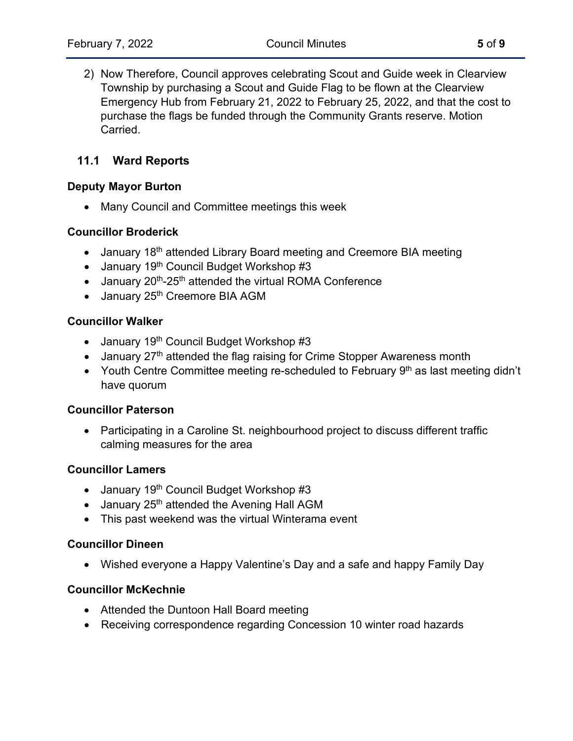2) Now Therefore, Council approves celebrating Scout and Guide week in Clearview Township by purchasing a Scout and Guide Flag to be flown at the Clearview Emergency Hub from February 21, 2022 to February 25, 2022, and that the cost to purchase the flags be funded through the Community Grants reserve. Motion Carried.

## **11.1 Ward Reports**

#### **Deputy Mayor Burton**

• Many Council and Committee meetings this week

#### **Councillor Broderick**

- January 18<sup>th</sup> attended Library Board meeting and Creemore BIA meeting
- January 19<sup>th</sup> Council Budget Workshop #3
- January 20<sup>th</sup>-25<sup>th</sup> attended the virtual ROMA Conference
- January 25<sup>th</sup> Creemore BIA AGM

#### **Councillor Walker**

- January  $19<sup>th</sup>$  Council Budget Workshop #3
- January  $27<sup>th</sup>$  attended the flag raising for Crime Stopper Awareness month
- Youth Centre Committee meeting re-scheduled to February  $9<sup>th</sup>$  as last meeting didn't have quorum

#### **Councillor Paterson**

• Participating in a Caroline St. neighbourhood project to discuss different traffic calming measures for the area

#### **Councillor Lamers**

- January 19<sup>th</sup> Council Budget Workshop #3
- January  $25<sup>th</sup>$  attended the Avening Hall AGM
- This past weekend was the virtual Winterama event

#### **Councillor Dineen**

• Wished everyone a Happy Valentine's Day and a safe and happy Family Day

#### **Councillor McKechnie**

- Attended the Duntoon Hall Board meeting
- Receiving correspondence regarding Concession 10 winter road hazards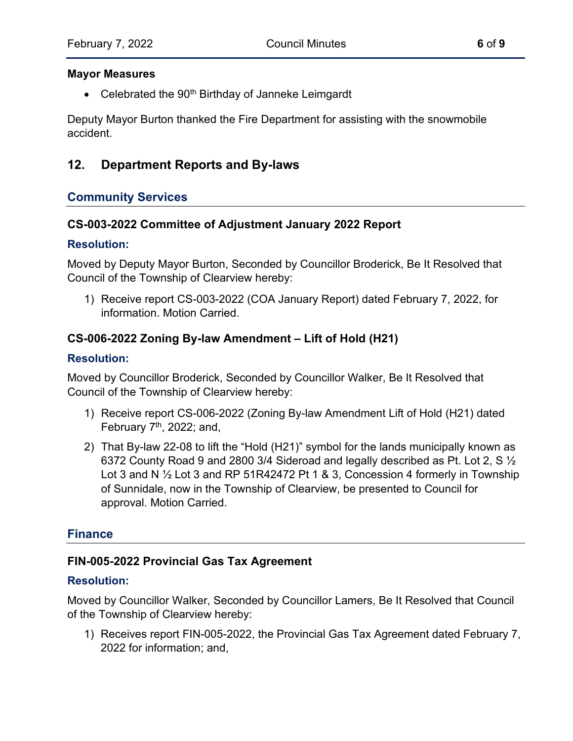#### **Mayor Measures**

• Celebrated the  $90<sup>th</sup>$  Birthday of Janneke Leimgardt

Deputy Mayor Burton thanked the Fire Department for assisting with the snowmobile accident.

## **12. Department Reports and By-laws**

## **Community Services**

#### **CS-003-2022 Committee of Adjustment January 2022 Report**

#### **Resolution:**

Moved by Deputy Mayor Burton, Seconded by Councillor Broderick, Be It Resolved that Council of the Township of Clearview hereby:

1) Receive report CS-003-2022 (COA January Report) dated February 7, 2022, for information. Motion Carried.

## **CS-006-2022 Zoning By-law Amendment – Lift of Hold (H21)**

#### **Resolution:**

Moved by Councillor Broderick, Seconded by Councillor Walker, Be It Resolved that Council of the Township of Clearview hereby:

- 1) Receive report CS-006-2022 (Zoning By-law Amendment Lift of Hold (H21) dated February  $7<sup>th</sup>$ , 2022; and,
- 2) That By-law 22-08 to lift the "Hold (H21)" symbol for the lands municipally known as 6372 County Road 9 and 2800 3/4 Sideroad and legally described as Pt. Lot 2, S  $\frac{1}{2}$ Lot 3 and N  $\frac{1}{2}$  Lot 3 and RP 51R42472 Pt 1 & 3, Concession 4 formerly in Township of Sunnidale, now in the Township of Clearview, be presented to Council for approval. Motion Carried.

## **Finance**

#### **FIN-005-2022 Provincial Gas Tax Agreement**

#### **Resolution:**

Moved by Councillor Walker, Seconded by Councillor Lamers, Be It Resolved that Council of the Township of Clearview hereby:

1) Receives report FIN-005-2022, the Provincial Gas Tax Agreement dated February 7, 2022 for information; and,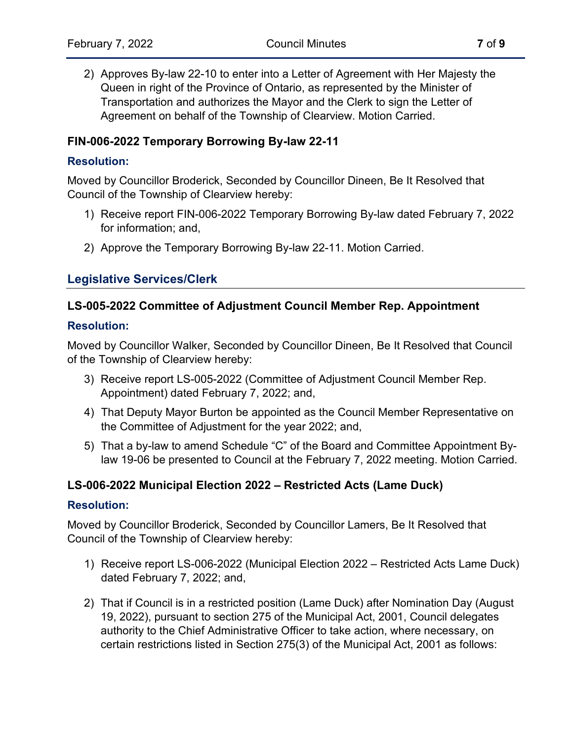2) Approves By-law 22-10 to enter into a Letter of Agreement with Her Majesty the Queen in right of the Province of Ontario, as represented by the Minister of Transportation and authorizes the Mayor and the Clerk to sign the Letter of Agreement on behalf of the Township of Clearview. Motion Carried.

## **FIN-006-2022 Temporary Borrowing By-law 22-11**

#### **Resolution:**

Moved by Councillor Broderick, Seconded by Councillor Dineen, Be It Resolved that Council of the Township of Clearview hereby:

- 1) Receive report FIN-006-2022 Temporary Borrowing By-law dated February 7, 2022 for information; and,
- 2) Approve the Temporary Borrowing By-law 22-11. Motion Carried.

## **Legislative Services/Clerk**

#### **LS-005-2022 Committee of Adjustment Council Member Rep. Appointment**

#### **Resolution:**

Moved by Councillor Walker, Seconded by Councillor Dineen, Be It Resolved that Council of the Township of Clearview hereby:

- 3) Receive report LS-005-2022 (Committee of Adjustment Council Member Rep. Appointment) dated February 7, 2022; and,
- 4) That Deputy Mayor Burton be appointed as the Council Member Representative on the Committee of Adjustment for the year 2022; and,
- 5) That a by-law to amend Schedule "C" of the Board and Committee Appointment Bylaw 19-06 be presented to Council at the February 7, 2022 meeting. Motion Carried.

#### **LS-006-2022 Municipal Election 2022 – Restricted Acts (Lame Duck)**

#### **Resolution:**

Moved by Councillor Broderick, Seconded by Councillor Lamers, Be It Resolved that Council of the Township of Clearview hereby:

- 1) Receive report LS-006-2022 (Municipal Election 2022 Restricted Acts Lame Duck) dated February 7, 2022; and,
- 2) That if Council is in a restricted position (Lame Duck) after Nomination Day (August 19, 2022), pursuant to section 275 of the Municipal Act, 2001, Council delegates authority to the Chief Administrative Officer to take action, where necessary, on certain restrictions listed in Section 275(3) of the Municipal Act, 2001 as follows: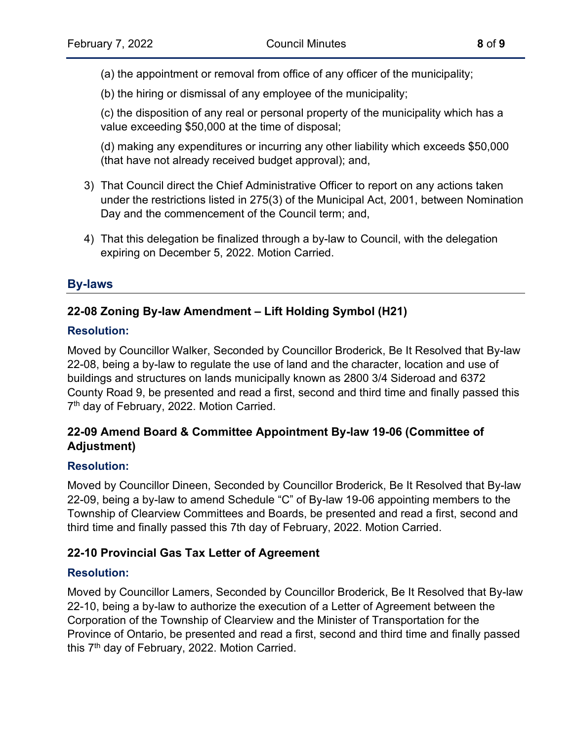(a) the appointment or removal from office of any officer of the municipality;

(b) the hiring or dismissal of any employee of the municipality;

(c) the disposition of any real or personal property of the municipality which has a value exceeding \$50,000 at the time of disposal;

(d) making any expenditures or incurring any other liability which exceeds \$50,000 (that have not already received budget approval); and,

- 3) That Council direct the Chief Administrative Officer to report on any actions taken under the restrictions listed in 275(3) of the Municipal Act, 2001, between Nomination Day and the commencement of the Council term; and,
- 4) That this delegation be finalized through a by-law to Council, with the delegation expiring on December 5, 2022. Motion Carried.

## **By-laws**

## **22-08 Zoning By-law Amendment – Lift Holding Symbol (H21)**

## **Resolution:**

Moved by Councillor Walker, Seconded by Councillor Broderick, Be It Resolved that By-law 22-08, being a by-law to regulate the use of land and the character, location and use of buildings and structures on lands municipally known as 2800 3/4 Sideroad and 6372 County Road 9, be presented and read a first, second and third time and finally passed this 7th day of February, 2022. Motion Carried.

## **22-09 Amend Board & Committee Appointment By-law 19-06 (Committee of Adjustment)**

#### **Resolution:**

Moved by Councillor Dineen, Seconded by Councillor Broderick, Be It Resolved that By-law 22-09, being a by-law to amend Schedule "C" of By-law 19-06 appointing members to the Township of Clearview Committees and Boards, be presented and read a first, second and third time and finally passed this 7th day of February, 2022. Motion Carried.

## **22-10 Provincial Gas Tax Letter of Agreement**

## **Resolution:**

Moved by Councillor Lamers, Seconded by Councillor Broderick, Be It Resolved that By-law 22-10, being a by-law to authorize the execution of a Letter of Agreement between the Corporation of the Township of Clearview and the Minister of Transportation for the Province of Ontario, be presented and read a first, second and third time and finally passed this  $7<sup>th</sup>$  day of February, 2022. Motion Carried.